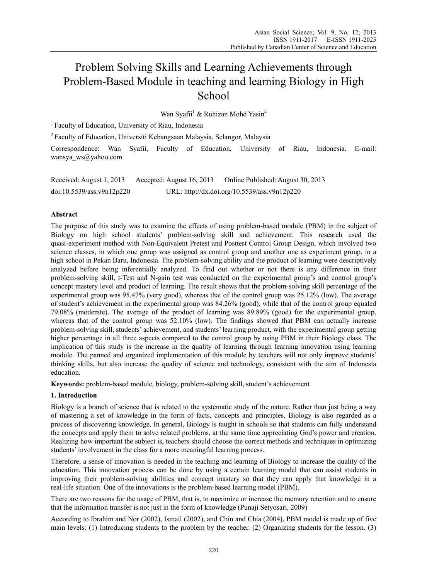# Problem Solving Skills and Learning Achievements through Problem-Based Module in teaching and learning Biology in High **School**

Wan Syafii<sup>1</sup> & Ruhizan Mohd Yasin<sup>2</sup>

<sup>1</sup> Faculty of Education, University of Riau, Indonesia

2 Faculty of Education, Universiti Kebangsaan Malaysia, Selangor, Malaysia

Correspondence: Wan Syafii, Faculty of Education, University of Riau, Indonesia. E-mail: wansya\_ws@yahoo.com

Received: August 1, 2013 Accepted: August 16, 2013 Online Published: August 30, 2013 doi:10.5539/ass.v9n12p220 URL: http://dx.doi.org/10.5539/ass.v9n12p220

# **Abstract**

The purpose of this study was to examine the effects of using problem-based module (PBM) in the subject of Biology on high school students' problem-solving skill and achievement. This research used the quasi-experiment method with Non-Equivalent Pretest and Posttest Control Group Design, which involved two science classes, in which one group was assigned as control group and another one as experiment group, in a high school in Pekan Baru, Indonesia. The problem-solving ability and the product of learning were descriptively analyzed before being inferentially analyzed. To find out whether or not there is any difference in their problem-solving skill, t-Test and N-gain test was conducted on the experimental group's and control group's concept mastery level and product of learning. The result shows that the problem-solving skill percentage of the experimental group was 95.47% (very good), whereas that of the control group was 25.12% (low). The average of student's achievement in the experimental group was 84.26% (good), while that of the control group equaled 79.08% (moderate). The average of the product of learning was 89.89% (good) for the experimental group, whereas that of the control group was  $52.10\%$  (low). The findings showed that PBM can actually increase problem-solving skill, students' achievement, and students' learning product, with the experimental group getting higher percentage in all three aspects compared to the control group by using PBM in their Biology class. The implication of this study is the increase in the quality of learning through learning innovation using learning module. The panned and organized implementation of this module by teachers will not only improve students' thinking skills, but also increase the quality of science and technology, consistent with the aim of Indonesia education.

**Keywords:** problem-based module, biology, problem-solving skill, student's achievement

# **1. Introduction**

Biology is a branch of science that is related to the systematic study of the nature. Rather than just being a way of mastering a set of knowledge in the form of facts, concepts and principles, Biology is also regarded as a process of discovering knowledge. In general, Biology is taught in schools so that students can fully understand the concepts and apply them to solve related problems, at the same time appreciating God's power and creation. Realizing how important the subject is, teachers should choose the correct methods and techniques in optimizing students' involvement in the class for a more meaningful learning process.

Therefore, a sense of innovation is needed in the teaching and learning of Biology to increase the quality of the education. This innovation process can be done by using a certain learning model that can assist students in improving their problem-solving abilities and concept mastery so that they can apply that knowledge in a real-life situation. One of the innovations is the problem-based learning model (PBM).

There are two reasons for the usage of PBM, that is, to maximize or increase the memory retention and to ensure that the information transfer is not just in the form of knowledge (Punaji Setyosari, 2009)

According to Ibrahim and Nor (2002), Ismail (2002), and Chin and Chia (2004), PBM model is made up of five main levels: (1) Introducing students to the problem by the teacher. (2) Organizing students for the lesson. (3)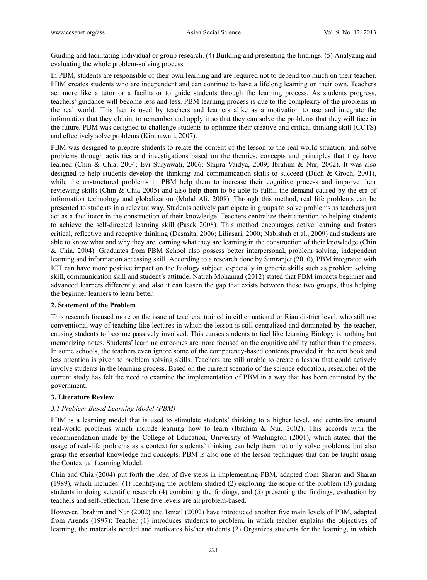Guiding and facilitating individual or group research. (4) Building and presenting the findings. (5) Analyzing and evaluating the whole problem-solving process.

In PBM, students are responsible of their own learning and are required not to depend too much on their teacher. PBM creates students who are independent and can continue to have a lifelong learning on their own. Teachers act more like a tutor or a facilitator to guide students through the learning process. As students progress, teachers' guidance will become less and less. PBM learning process is due to the complexity of the problems in the real world. This fact is used by teachers and learners alike as a motivation to use and integrate the information that they obtain, to remember and apply it so that they can solve the problems that they will face in the future. PBM was designed to challenge students to optimize their creative and critical thinking skill (CCTS) and effectively solve problems (Kiranawati, 2007).

PBM was designed to prepare students to relate the content of the lesson to the real world situation, and solve problems through activities and investigations based on the theories, concepts and principles that they have learned (Chin & Chia, 2004; Evi Suryawati, 2006; Shipra Vaidya, 2009; Ibrahim & Nur, 2002). It was also designed to help students develop the thinking and communication skills to succeed (Duch & Groch, 2001), while the unstructured problems in PBM help them to increase their cognitive process and improve their reviewing skills (Chin & Chia 2005) and also help them to be able to fulfill the demand caused by the era of information technology and globalization (Mohd Ali, 2008). Through this method, real life problems can be presented to students in a relevant way. Students actively participate in groups to solve problems as teachers just act as a facilitator in the construction of their knowledge. Teachers centralize their attention to helping students to achieve the self-directed learning skill (Pasek 2008). This method encourages active learning and fosters critical, reflective and receptive thinking (Desmita, 2006; Liliasari, 2000; Nabishah et al., 2009) and students are able to know what and why they are learning what they are learning in the construction of their knowledge (Chin & Chia, 2004). Graduates from PBM School also possess better interpersonal, problem solving, independent learning and information accessing skill. According to a research done by Simranjet (2010), PBM integrated with ICT can have more positive impact on the Biology subject, especially in generic skills such as problem solving skill, communication skill and student's attitude. Natrah Mohamad (2012) stated that PBM impacts beginner and advanced learners differently, and also it can lessen the gap that exists between these two groups, thus helping the beginner learners to learn better.

# **2. Statement of the Problem**

This research focused more on the issue of teachers, trained in either national or Riau district level, who still use conventional way of teaching like lectures in which the lesson is still centralized and dominated by the teacher, causing students to become passively involved. This causes students to feel like learning Biology is nothing but memorizing notes. Students' learning outcomes are more focused on the cognitive ability rather than the process. In some schools, the teachers even ignore some of the competency-based contents provided in the text book and less attention is given to problem solving skills. Teachers are still unable to create a lesson that could actively involve students in the learning process. Based on the current scenario of the science education, researcher of the current study has felt the need to examine the implementation of PBM in a way that has been entrusted by the government.

# **3. Literature Review**

# *3.1 Problem-Based Learning Model (PBM)*

PBM is a learning model that is used to stimulate students' thinking to a higher level, and centralize around real-world problems which include learning how to learn (Ibrahim & Nur, 2002). This accords with the recommendation made by the College of Education, University of Washington (2001), which stated that the usage of real-life problems as a context for students' thinking can help them not only solve problems, but also grasp the essential knowledge and concepts. PBM is also one of the lesson techniques that can be taught using the Contextual Learning Model.

Chin and Chia (2004) put forth the idea of five steps in implementing PBM, adapted from Sharan and Sharan (1989), which includes: (1) Identifying the problem studied (2) exploring the scope of the problem (3) guiding students in doing scientific research (4) combining the findings, and (5) presenting the findings, evaluation by teachers and self-reflection. These five levels are all problem-based.

However, Ibrahim and Nur (2002) and Ismail (2002) have introduced another five main levels of PBM, adapted from Arends (1997): Teacher (1) introduces students to problem, in which teacher explains the objectives of learning, the materials needed and motivates his/her students (2) Organizes students for the learning, in which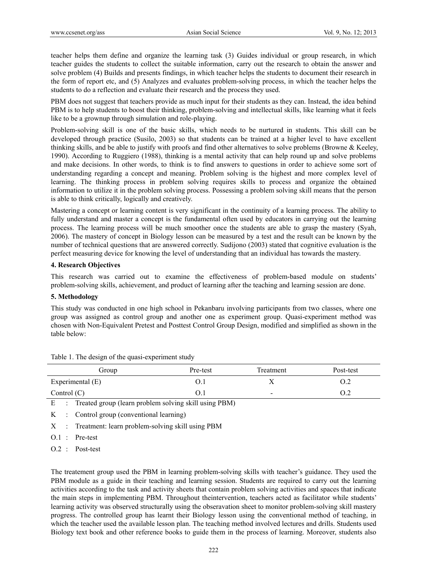teacher helps them define and organize the learning task (3) Guides individual or group research, in which teacher guides the students to collect the suitable information, carry out the research to obtain the answer and solve problem (4) Builds and presents findings, in which teacher helps the students to document their research in the form of report etc, and (5) Analyzes and evaluates problem-solving process, in which the teacher helps the students to do a reflection and evaluate their research and the process they used.

PBM does not suggest that teachers provide as much input for their students as they can. Instead, the idea behind PBM is to help students to boost their thinking, problem-solving and intellectual skills, like learning what it feels like to be a grownup through simulation and role-playing.

Problem-solving skill is one of the basic skills, which needs to be nurtured in students. This skill can be developed through practice (Susilo, 2003) so that students can be trained at a higher level to have excellent thinking skills, and be able to justify with proofs and find other alternatives to solve problems (Browne & Keeley, 1990). According to Ruggiero (1988), thinking is a mental activity that can help round up and solve problems and make decisions. In other words, to think is to find answers to questions in order to achieve some sort of understanding regarding a concept and meaning. Problem solving is the highest and more complex level of learning. The thinking process in problem solving requires skills to process and organize the obtained information to utilize it in the problem solving process. Possessing a problem solving skill means that the person is able to think critically, logically and creatively.

Mastering a concept or learning content is very significant in the continuity of a learning process. The ability to fully understand and master a concept is the fundamental often used by educators in carrying out the learning process. The learning process will be much smoother once the students are able to grasp the mastery (Syah, 2006). The mastery of concept in Biology lesson can be measured by a test and the result can be known by the number of technical questions that are answered correctly. Sudijono (2003) stated that cognitive evaluation is the perfect measuring device for knowing the level of understanding that an individual has towards the mastery.

# **4. Research Objectives**

This research was carried out to examine the effectiveness of problem-based module on students' problem-solving skills, achievement, and product of learning after the teaching and learning session are done.

# **5. Methodology**

This study was conducted in one high school in Pekanbaru involving participants from two classes, where one group was assigned as control group and another one as experiment group. Quasi-experiment method was chosen with Non-Equivalent Pretest and Posttest Control Group Design, modified and simplified as shown in the table below:

| Group            | Pre-test | Treatment                | Post-test |
|------------------|----------|--------------------------|-----------|
| Experimental (E) | O.I      | ◢                        |           |
| Control $(C)$    | O.I      | $\overline{\phantom{0}}$ | O.2       |

Table 1. The design of the quasi-experiment study

K : Control group (conventional learning)

X : Treatment: learn problem-solving skill using PBM

E : Treated group (learn problem solving skill using PBM)

O.1 : Pre-test

O.2 : Post-test

The treatement group used the PBM in learning problem-solving skills with teacher's guidance. They used the PBM module as a guide in their teaching and learning session. Students are required to carry out the learning activities according to the task and activity sheets that contain problem solving activities and spaces that indicate the main steps in implementing PBM. Throughout theintervention, teachers acted as facilitator while students' learning activity was observed structurally using the obseravation sheet to monitor problem-solving skill mastery progress. The controlled group has learnt their Biology lesson using the conventional method of teaching, in which the teacher used the available lesson plan. The teaching method involved lectures and drills. Students used Biology text book and other reference books to guide them in the process of learning. Moreover, students also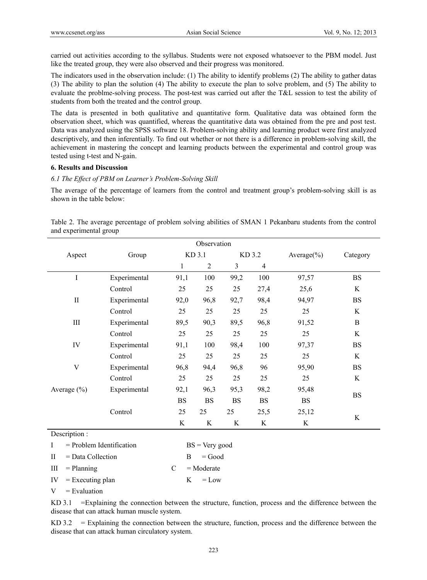carried out activities according to the syllabus. Students were not exposed whatsoever to the PBM model. Just like the treated group, they were also observed and their progress was monitored.

The indicators used in the observation include: (1) The ability to identify problems (2) The ability to gather datas (3) The ability to plan the solution (4) The ability to execute the plan to solve problem, and (5) The ability to evaluate the problme-solving process. The post-test was carried out after the T&L session to test the ability of students from both the treated and the control group.

The data is presented in both qualitative and quantitative form. Qualitative data was obtained form the observation sheet, which was quantified, whereas the quantitative data was obtained from the pre and post test. Data was analyzed using the SPSS software 18. Problem-solving ability and learning product were first analyzed descriptively, and then inferentially. To find out whether or not there is a difference in problem-solving skill, the achievement in mastering the concept and learning products between the experimental and control group was tested using t-test and N-gain.

#### **6. Results and Discussion**

# *6.1 The Effect of PBM on Learner's Problem-Solving Skill*

The average of the percentage of learners from the control and treatment group's problem-solving skill is as shown in the table below:

Table 2. The average percentage of problem solving abilities of SMAN 1 Pekanbaru students from the control and experimental group

|                                  |                            |              | Observation      |           |                |                 |              |
|----------------------------------|----------------------------|--------------|------------------|-----------|----------------|-----------------|--------------|
| Aspect<br>Group                  |                            | KD 3.1       |                  | KD 3.2    |                | Average $(\% )$ | Category     |
|                                  |                            | $\mathbf{1}$ | $\overline{2}$   | 3         | $\overline{4}$ |                 |              |
| $\rm I$                          | Experimental               | 91,1         | 100              | 99,2      | 100            | 97,57           | <b>BS</b>    |
|                                  | Control                    | 25           | 25               | 25        | 27,4           | 25,6            | K            |
| $\mathbf{I}$                     | Experimental               | 92,0         | 96,8             | 92,7      | 98,4           | 94,97           | <b>BS</b>    |
|                                  | Control                    | 25           | 25               | 25        | 25             | 25              | K            |
| $\rm III$                        | Experimental               | 89,5         | 90,3             | 89,5      | 96,8           | 91,52           | $\, {\bf B}$ |
|                                  | Control                    | 25           | 25               | 25        | 25             | 25              | K            |
| IV                               | Experimental               | 91,1         | 100              | 98,4      | 100            | 97,37           | <b>BS</b>    |
|                                  | Control                    | 25           | 25               | 25        | 25             | 25              | $\rm K$      |
| V                                | Experimental               | 96,8         | 94,4             | 96,8      | 96             | 95,90           | <b>BS</b>    |
|                                  | Control                    | 25           | 25               | 25        | 25             | 25              | K            |
| Average (%)                      | Experimental               | 92,1         | 96,3             | 95,3      | 98,2           | 95,48           |              |
|                                  |                            | <b>BS</b>    | <b>BS</b>        | <b>BS</b> | <b>BS</b>      | <b>BS</b>       | <b>BS</b>    |
|                                  | Control                    | 25           | 25               | 25        | 25,5           | 25,12           |              |
|                                  |                            | K            | K                | K         | K              | K               | $\rm K$      |
| Description:                     |                            |              |                  |           |                |                 |              |
| Ι                                | $=$ Problem Identification |              | $BS = Very good$ |           |                |                 |              |
| = Data Collection<br>$_{\rm II}$ |                            | B            | $=$ Good         |           |                |                 |              |

 $III = Planning$   $C = Modern$ 

 $V =$ Evaluation

KD 3.1 =Explaining the connection between the structure, function, process and the difference between the disease that can attack human muscle system.

KD 3.2 = Explaining the connection between the structure, function, process and the difference between the disease that can attack human circulatory system.

IV  $=$  Executing plan  $K = Low$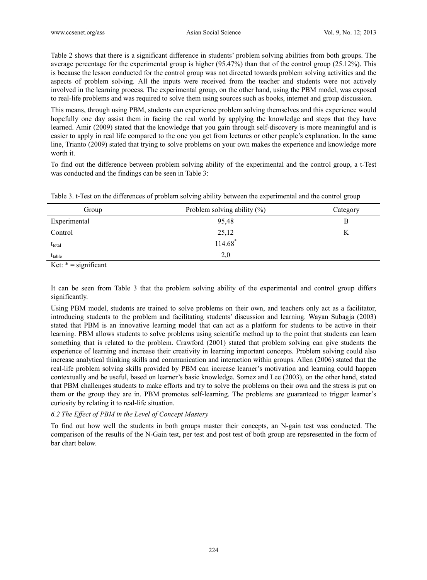Table 2 shows that there is a significant difference in students' problem solving abilities from both groups. The average percentage for the experimental group is higher (95.47%) than that of the control group (25.12%). This is because the lesson conducted for the control group was not directed towards problem solving activities and the aspects of problem solving. All the inputs were received from the teacher and students were not actively involved in the learning process. The experimental group, on the other hand, using the PBM model, was exposed to real-life problems and was required to solve them using sources such as books, internet and group discussion.

This means, through using PBM, students can experience problem solving themselves and this experience would hopefully one day assist them in facing the real world by applying the knowledge and steps that they have learned. Amir (2009) stated that the knowledge that you gain through self-discovery is more meaningful and is easier to apply in real life compared to the one you get from lectures or other people's explanation. In the same line, Trianto (2009) stated that trying to solve problems on your own makes the experience and knowledge more worth it.

To find out the difference between problem solving ability of the experimental and the control group, a t-Test was conducted and the findings can be seen in Table 3:

| Table 3. t-Test on the differences of problem solving ability between the experimental and the control group |  |  |
|--------------------------------------------------------------------------------------------------------------|--|--|
|                                                                                                              |  |  |

| Group              | Problem solving ability $(\% )$ | Category |
|--------------------|---------------------------------|----------|
| Experimental       | 95,48                           |          |
| Control            | 25,12                           |          |
| $t_{\text{total}}$ | $114.68*$                       |          |
| $t_{table}$        | 2,0                             |          |

Ket:  $* =$  significant

It can be seen from Table 3 that the problem solving ability of the experimental and control group differs significantly.

Using PBM model, students are trained to solve problems on their own, and teachers only act as a facilitator, introducing students to the problem and facilitating students' discussion and learning. Wayan Subagja (2003) stated that PBM is an innovative learning model that can act as a platform for students to be active in their learning. PBM allows students to solve problems using scientific method up to the point that students can learn something that is related to the problem. Crawford (2001) stated that problem solving can give students the experience of learning and increase their creativity in learning important concepts. Problem solving could also increase analytical thinking skills and communication and interaction within groups. Allen (2006) stated that the real-life problem solving skills provided by PBM can increase learner's motivation and learning could happen contextually and be useful, based on learner's basic knowledge. Somez and Lee (2003), on the other hand, stated that PBM challenges students to make efforts and try to solve the problems on their own and the stress is put on them or the group they are in. PBM promotes self-learning. The problems are guaranteed to trigger learner's curiosity by relating it to real-life situation.

# *6.2 The Effect of PBM in the Level of Concept Mastery*

To find out how well the students in both groups master their concepts, an N-gain test was conducted. The comparison of the results of the N-Gain test, per test and post test of both group are repsresented in the form of bar chart below.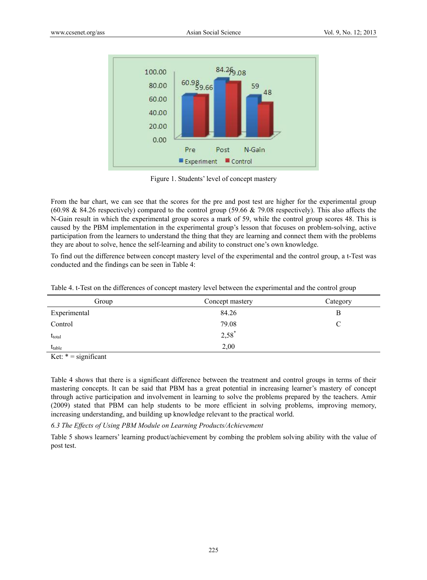

Figure 1. Students' level of concept mastery

From the bar chart, we can see that the scores for the pre and post test are higher for the experimental group (60.98 & 84.26 respectively) compared to the control group (59.66 & 79.08 respectively). This also affects the N-Gain result in which the experimental group scores a mark of 59, while the control group scores 48. This is caused by the PBM implementation in the experimental group's lesson that focuses on problem-solving, active participation from the learners to understand the thing that they are learning and connect them with the problems they are about to solve, hence the self-learning and ability to construct one's own knowledge.

To find out the difference between concept mastery level of the experimental and the control group, a t-Test was conducted and the findings can be seen in Table 4:

| Group                                                      | Concept mastery | Category |
|------------------------------------------------------------|-----------------|----------|
| Experimental                                               | 84.26           | В        |
| Control                                                    | 79.08           |          |
| $t_{\text{total}}$                                         | $2,58^*$        |          |
| $t_{table}$                                                | 2,00            |          |
| $\mathbf{V}$ of $\mathbf{A} = \mathbf{V}$ and $\mathbf{V}$ |                 |          |

Ket:  $* =$  significant

Table 4 shows that there is a significant difference between the treatment and control groups in terms of their mastering concepts. It can be said that PBM has a great potential in increasing learner's mastery of concept through active participation and involvement in learning to solve the problems prepared by the teachers. Amir (2009) stated that PBM can help students to be more efficient in solving problems, improving memory, increasing understanding, and building up knowledge relevant to the practical world.

*6.3 The Effects of Using PBM Module on Learning Products/Achievement* 

Table 5 shows learners' learning product/achievement by combing the problem solving ability with the value of post test.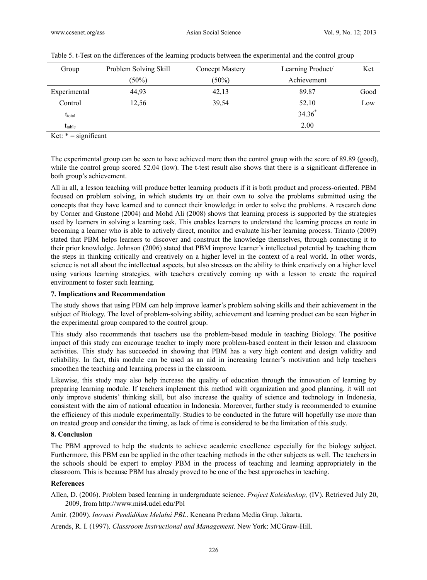| Group              | Problem Solving Skill | <b>Concept Mastery</b> | Learning Product/ | Ket  |
|--------------------|-----------------------|------------------------|-------------------|------|
|                    | $(50\%)$              | $(50\%)$               | Achievement       |      |
| Experimental       | 44,93                 | 42,13                  | 89.87             | Good |
| Control            | 12,56                 | 39,54                  | 52.10             | Low  |
| $t_{\text{total}}$ |                       |                        | $34.36^{*}$       |      |
| $t_{table}$        |                       |                        | 2.00              |      |

| Table 5. t-Test on the differences of the learning products between the experimental and the control group |  |  |
|------------------------------------------------------------------------------------------------------------|--|--|
|                                                                                                            |  |  |

Ket:  $* =$  significant

The experimental group can be seen to have achieved more than the control group with the score of 89.89 (good), while the control group scored 52.04 (low). The t-test result also shows that there is a significant difference in both group's achievement.

All in all, a lesson teaching will produce better learning products if it is both product and process-oriented. PBM focused on problem solving, in which students try on their own to solve the problems submitted using the concepts that they have learned and to connect their knowledge in order to solve the problems. A research done by Corner and Gustone (2004) and Mohd Ali (2008) shows that learning process is supported by the strategies used by learners in solving a learning task. This enables learners to understand the learning process en route in becoming a learner who is able to actively direct, monitor and evaluate his/her learning process. Trianto (2009) stated that PBM helps learners to discover and construct the knowledge themselves, through connecting it to their prior knowledge. Johnson (2006) stated that PBM improve learner's intellectual potential by teaching them the steps in thinking critically and creatively on a higher level in the context of a real world. In other words, science is not all about the intellectual aspects, but also stresses on the ability to think creatively on a higher level using various learning strategies, with teachers creatively coming up with a lesson to create the required environment to foster such learning.

# **7. Implications and Recommendation**

The study shows that using PBM can help improve learner's problem solving skills and their achievement in the subject of Biology. The level of problem-solving ability, achievement and learning product can be seen higher in the experimental group compared to the control group.

This study also recommends that teachers use the problem-based module in teaching Biology. The positive impact of this study can encourage teacher to imply more problem-based content in their lesson and classroom activities. This study has succeeded in showing that PBM has a very high content and design validity and reliability. In fact, this module can be used as an aid in increasing learner's motivation and help teachers smoothen the teaching and learning process in the classroom.

Likewise, this study may also help increase the quality of education through the innovation of learning by preparing learning module. If teachers implement this method with organization and good planning, it will not only improve students' thinking skill, but also increase the quality of science and technology in Indonesia, consistent with the aim of national education in Indonesia. Moreover, further study is recommended to examine the efficiency of this module experimentally. Studies to be conducted in the future will hopefully use more than on treated group and consider the timing, as lack of time is considered to be the limitation of this study.

# **8. Conclusion**

The PBM approved to help the students to achieve academic excellence especially for the biology subject. Furthermore, this PBM can be applied in the other teaching methods in the other subjects as well. The teachers in the schools should be expert to employ PBM in the process of teaching and learning appropriately in the classroom. This is because PBM has already proved to be one of the best approaches in teaching.

# **References**

Allen, D. (2006). Problem based learning in undergraduate science. *Project Kaleidoskop,* (IV). Retrieved July 20, 2009, from http://www.mis4.udel.edu/Pbl

Amir. (2009). *Inovasi Pendidikan Melalui PBL*. Kencana Predana Media Grup. Jakarta.

Arends, R. I. (1997). *Classroom Instructional and Management.* New York: MCGraw-Hill.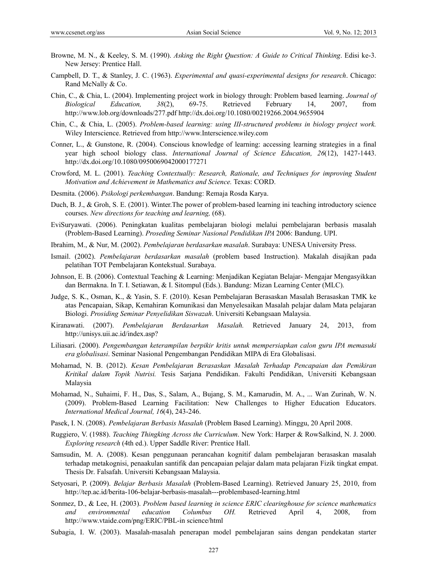- Browne, M. N., & Keeley, S. M. (1990). *Asking the Right Question: A Guide to Critical Thinking*. Edisi ke-3. New Jersey: Prentice Hall.
- Campbell, D. T., & Stanley, J. C. (1963). *Experimental and quasi-experimental designs for research*. Chicago: Rand McNally & Co.
- Chin, C., & Chia, L. (2004). Implementing project work in biology through: Problem based learning. *Journal of Biological Education, 38*(2), 69-75. Retrieved February 14, 2007, from http://www.lob.org/downloads/277.pdf http://dx.doi.org/10.1080/00219266.2004.9655904
- Chin, C., & Chia, L. (2005). *Problem-based learning: using III-structured problems in biology project work.* Wiley Interscience. Retrieved from http://www.Interscience.wiley.com
- Conner, L., & Gunstone, R. (2004). Conscious knowledge of learning: accessing learning strategies in a final year high school biology class. *International Journal of Science Education, 26*(12), 1427-1443. http://dx.doi.org/10.1080/0950069042000177271
- Crowford, M. L. (2001). *Teaching Contextually: Research, Rationale, and Techniques for improving Student Motivation and Achievement in Mathematics and Science.* Texas: CORD.
- Desmita. (2006). *Psikologi perkembangan*. Bandung: Remaja Rosda Karya.
- Duch, B. J., & Groh, S. E. (2001). Winter. The power of problem-based learning ini teaching introductory science courses. *New directions for teaching and learning,* (68).
- EviSuryawati. (2006). Peningkatan kualitas pembelajaran biologi melalui pembelajaran berbasis masalah (Problem-Based Learning). *Proseding Seminar Nasional Pendidikan IPA* 2006: Bandung. UPI.
- Ibrahim, M., & Nur, M. (2002). *Pembelajaran berdasarkan masalah*. Surabaya: UNESA University Press.
- Ismail. (2002). *Pembelajaran berdasarkan masalah* (problem based Instruction). Makalah disajikan pada pelatihan TOT Pembelajaran Kontekstual. Surabaya.
- Johnson, E. B. (2006). Contextual Teaching & Learning: Menjadikan Kegiatan Belajar- Mengajar Mengasyikkan dan Bermakna. In T. I. Setiawan, & I. Sitompul (Eds.). Bandung: Mizan Learning Center (MLC).
- Judge, S. K., Osman, K., & Yasin, S. F. (2010). Kesan Pembelajaran Berasaskan Masalah Berasaskan TMK ke atas Pencapaian, Sikap, Kemahiran Komunikasi dan Menyelesaikan Masalah pelajar dalam Mata pelajaran Biologi. *Prosiding Seminar Penyelidikan Siswazah*. Universiti Kebangsaan Malaysia.
- Kiranawati. (2007). *Pembelajaran Berdasarkan Masalah.* Retrieved January 24, 2013, from http://unisys.uii.ac.id/index.asp?
- Liliasari. (2000). *Pengembangan keterampilan berpikir kritis untuk mempersiapkan calon guru IPA memasuki era globalisasi*. Seminar Nasional Pengembangan Pendidikan MIPA di Era Globalisasi.
- Mohamad, N. B. (2012). *Kesan Pembelajaran Berasaskan Masalah Terhadap Pencapaian dan Pemikiran Kritikal dalam Topik Nutrisi.* Tesis Sarjana Pendidikan. Fakulti Pendidikan, Universiti Kebangsaan Malaysia
- Mohamad, N., Suhaimi, F. H., Das, S., Salam, A., Bujang, S. M., Kamarudin, M. A., ... Wan Zurinah, W. N. (2009). Problem-Based Learning Facilitation: New Challenges to Higher Education Educators. *International Medical Journal, 16*(4), 243-246.
- Pasek, I. N. (2008). *Pembelajaran Berbasis Masalah* (Problem Based Learning). Minggu, 20 April 2008.
- Ruggiero, V. (1988). *Teaching Thingking Across the Curriculum*. New York: Harper & RowSalkind, N. J. 2000. *Exploring research* (4th ed.). Upper Saddle River: Prentice Hall.
- Samsudin, M. A. (2008). Kesan penggunaan perancahan kognitif dalam pembelajaran berasaskan masalah terhadap metakognisi, penaakulan santifik dan pencapaian pelajar dalam mata pelajaran Fizik tingkat empat. Thesis Dr. Falsafah. Universiti Kebangsaan Malaysia.
- Setyosari, P. (2009). *Belajar Berbasis Masalah* (Problem-Based Learning). Retrieved January 25, 2010, from http://tep.ac.id/berita-106-belajar-berbasis-masalah---problembased-learning.html
- Sonmez, D., & Lee, H. (2003). *Problem based learning in science ERIC clearinghouse for science mathematics and environmental education Columbus OH.* Retrieved April 4, 2008, from http://www.vtaide.com/png/ERIC/PBL-in science/html
- Subagia, I. W. (2003). Masalah-masalah penerapan model pembelajaran sains dengan pendekatan starter